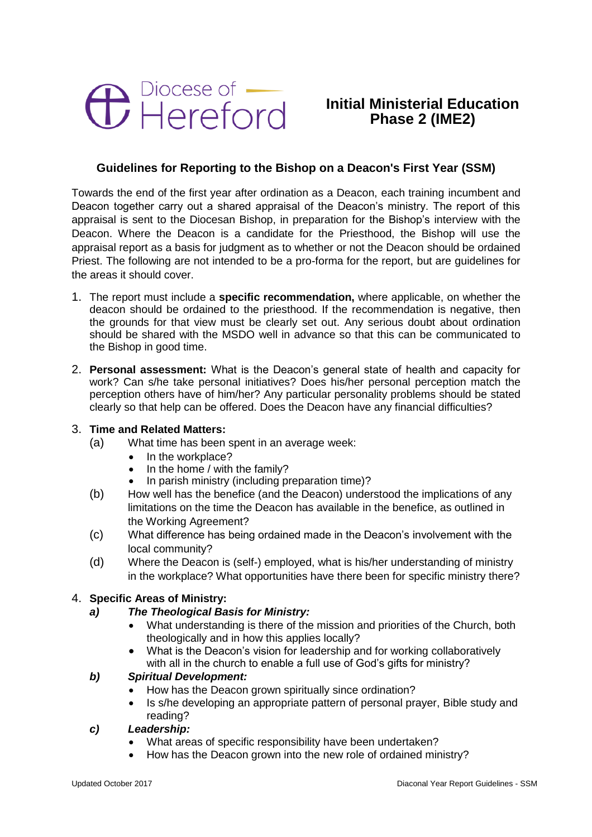

# **Initial Ministerial Education Phase 2 (IME2)**

## **Guidelines for Reporting to the Bishop on a Deacon's First Year (SSM)**

Towards the end of the first year after ordination as a Deacon, each training incumbent and Deacon together carry out a shared appraisal of the Deacon's ministry. The report of this appraisal is sent to the Diocesan Bishop, in preparation for the Bishop's interview with the Deacon. Where the Deacon is a candidate for the Priesthood, the Bishop will use the appraisal report as a basis for judgment as to whether or not the Deacon should be ordained Priest. The following are not intended to be a pro-forma for the report, but are guidelines for the areas it should cover.

- 1. The report must include a **specific recommendation,** where applicable, on whether the deacon should be ordained to the priesthood. If the recommendation is negative, then the grounds for that view must be clearly set out. Any serious doubt about ordination should be shared with the MSDO well in advance so that this can be communicated to the Bishop in good time.
- 2. **Personal assessment:** What is the Deacon's general state of health and capacity for work? Can s/he take personal initiatives? Does his/her personal perception match the perception others have of him/her? Any particular personality problems should be stated clearly so that help can be offered. Does the Deacon have any financial difficulties?

## 3. **Time and Related Matters:**

- (a) What time has been spent in an average week:
	- In the workplace?
	- In the home / with the family?
	- In parish ministry (including preparation time)?
- (b) How well has the benefice (and the Deacon) understood the implications of any limitations on the time the Deacon has available in the benefice, as outlined in the Working Agreement?
- (c) What difference has being ordained made in the Deacon's involvement with the local community?
- (d) Where the Deacon is (self-) employed, what is his/her understanding of ministry in the workplace? What opportunities have there been for specific ministry there?

## 4. **Specific Areas of Ministry:**

## *a) The Theological Basis for Ministry:*

- What understanding is there of the mission and priorities of the Church, both theologically and in how this applies locally?
- What is the Deacon's vision for leadership and for working collaboratively with all in the church to enable a full use of God's gifts for ministry?

## *b) Spiritual Development:*

- How has the Deacon grown spiritually since ordination?
- Is s/he developing an appropriate pattern of personal prayer, Bible study and reading?

## *c) Leadership:*

- What areas of specific responsibility have been undertaken?
- How has the Deacon grown into the new role of ordained ministry?